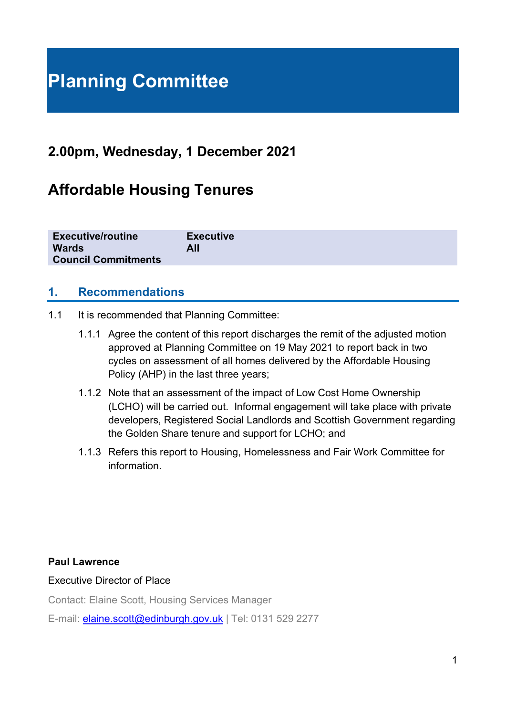# **Planning Committee**

# **2.00pm, Wednesday, 1 December 2021**

# **Affordable Housing Tenures**

| <b>Executive/routine</b>   | <b>Executive</b> |
|----------------------------|------------------|
| <b>Wards</b>               | All              |
| <b>Council Commitments</b> |                  |

#### **1. Recommendations**

- 1.1 It is recommended that Planning Committee:
	- 1.1.1 Agree the content of this report discharges the remit of the adjusted motion approved at Planning Committee on 19 May 2021 to report back in two cycles on assessment of all homes delivered by the Affordable Housing Policy (AHP) in the last three years;
	- 1.1.2 Note that an assessment of the impact of Low Cost Home Ownership (LCHO) will be carried out. Informal engagement will take place with private developers, Registered Social Landlords and Scottish Government regarding the Golden Share tenure and support for LCHO; and
	- 1.1.3 Refers this report to Housing, Homelessness and Fair Work Committee for information.

#### **Paul Lawrence**

Executive Director of Place

Contact: Elaine Scott, Housing Services Manager

E-mail: [elaine.scott@edinburgh.gov.uk](mailto:elaine.scott@edinburgh.gov.uk) | Tel: 0131 529 2277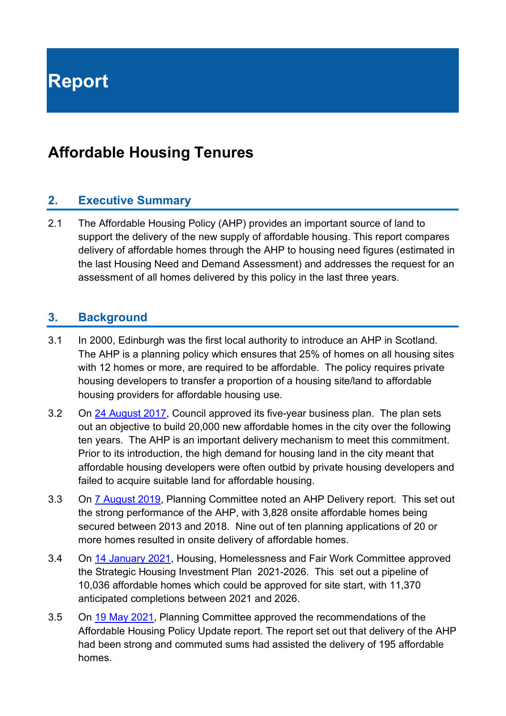**Report**

# **Affordable Housing Tenures**

#### **2. Executive Summary**

2.1 The Affordable Housing Policy (AHP) provides an important source of land to support the delivery of the new supply of affordable housing. This report compares delivery of affordable homes through the AHP to housing need figures (estimated in the last Housing Need and Demand Assessment) and addresses the request for an assessment of all homes delivered by this policy in the last three years.

#### **3. Background**

- 3.1 In 2000, Edinburgh was the first local authority to introduce an AHP in Scotland. The AHP is a planning policy which ensures that 25% of homes on all housing sites with 12 homes or more, are required to be affordable. The policy requires private housing developers to transfer a proportion of a housing site/land to affordable housing providers for affordable housing use.
- 3.2 On [24 August 2017,](https://democracy.edinburgh.gov.uk/Data/City%20of%20Edinburgh%20Council/20170824/Agenda/$item_81_-_programme_for_the_capital_-_the_city_of_edinburgh_council_business_plan_2017-22.xls.pdf) Council approved its five-year business plan. The plan sets out an objective to build 20,000 new affordable homes in the city over the following ten years. The AHP is an important delivery mechanism to meet this commitment. Prior to its introduction, the high demand for housing land in the city meant that affordable housing developers were often outbid by private housing developers and failed to acquire suitable land for affordable housing.
- 3.3 On [7 August 2019,](https://democracy.edinburgh.gov.uk/documents/s4200/8.1%20-%20Affordable%20Housing%20Policy%20Delivery.pdf) Planning Committee noted an AHP Delivery report. This set out the strong performance of the AHP, with 3,828 onsite affordable homes being secured between 2013 and 2018. Nine out of ten planning applications of 20 or more homes resulted in onsite delivery of affordable homes.
- 3.4 On 14 [January 2021,](https://democracy.edinburgh.gov.uk/documents/s30291/7.1%20-%20Strategic%20Housing%20Investment%20Plan%20SHIP%202021-2026.pdf) Housing, Homelessness and Fair Work Committee approved the Strategic Housing Investment Plan 2021-2026. This set out a pipeline of 10,036 affordable homes which could be approved for site start, with 11,370 anticipated completions between 2021 and 2026.
- 3.5 On 19 [May 2021,](https://democracy.edinburgh.gov.uk/documents/s34026/Item%207.1%20-%20Affordable%20Housing%20Policy%20Update.pdf) Planning Committee approved the recommendations of the Affordable Housing Policy Update report. The report set out that delivery of the AHP had been strong and commuted sums had assisted the delivery of 195 affordable homes.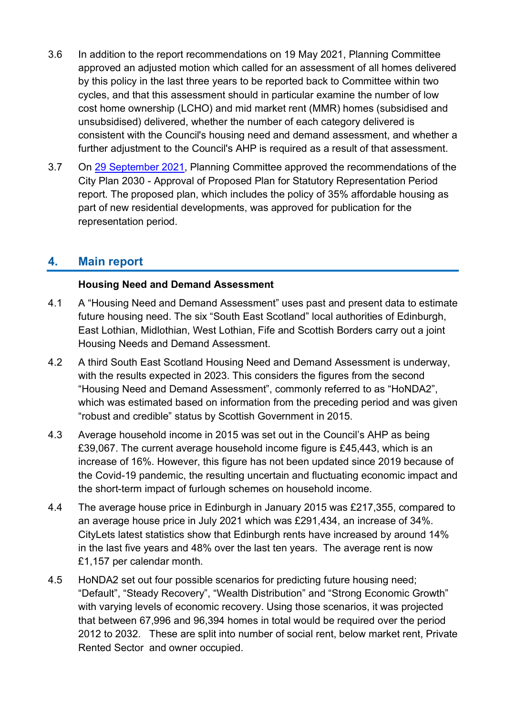- 3.6 In addition to the report recommendations on 19 May 2021, Planning Committee approved an adjusted motion which called for an assessment of all homes delivered by this policy in the last three years to be reported back to Committee within two cycles, and that this assessment should in particular examine the number of low cost home ownership (LCHO) and mid market rent (MMR) homes (subsidised and unsubsidised) delivered, whether the number of each category delivered is consistent with the Council's housing need and demand assessment, and whether a further adjustment to the Council's AHP is required as a result of that assessment.
- 3.7 On [29 September 2021,](https://democracy.edinburgh.gov.uk/documents/s37852/6.1%20-%20City%20Plan%202030%20Approval%20of%20Proposed%20Plan%20for%20Statutory%20Representation%20Period.pdf.pdf) Planning Committee approved the recommendations of the City Plan 2030 - Approval of Proposed Plan for Statutory Representation Period report. The proposed plan, which includes the policy of 35% affordable housing as part of new residential developments, was approved for publication for the representation period.

### **4. Main report**

#### **Housing Need and Demand Assessment**

- 4.1 A "Housing Need and Demand Assessment" uses past and present data to estimate future housing need. The six "South East Scotland" local authorities of Edinburgh, East Lothian, Midlothian, West Lothian, Fife and Scottish Borders carry out a joint Housing Needs and Demand Assessment.
- 4.2 A third South East Scotland Housing Need and Demand Assessment is underway, with the results expected in 2023. This considers the figures from the second "Housing Need and Demand Assessment", commonly referred to as "HoNDA2", which was estimated based on information from the preceding period and was given "robust and credible" status by Scottish Government in 2015.
- 4.3 Average household income in 2015 was set out in the Council's AHP as being £39,067. The current average household income figure is £45,443, which is an increase of 16%. However, this figure has not been updated since 2019 because of the Covid-19 pandemic, the resulting uncertain and fluctuating economic impact and the short-term impact of furlough schemes on household income.
- 4.4 The average house price in Edinburgh in January 2015 was £217,355, compared to an average house price in July 2021 which was £291,434, an increase of 34%. CityLets latest statistics show that Edinburgh rents have increased by around 14% in the last five years and 48% over the last ten years. The average rent is now £1,157 per calendar month.
- 4.5 HoNDA2 set out four possible scenarios for predicting future housing need; "Default", "Steady Recovery", "Wealth Distribution" and "Strong Economic Growth" with varying levels of economic recovery. Using those scenarios, it was projected that between 67,996 and 96,394 homes in total would be required over the period 2012 to 2032. These are split into number of social rent, below market rent, Private Rented Sector and owner occupied.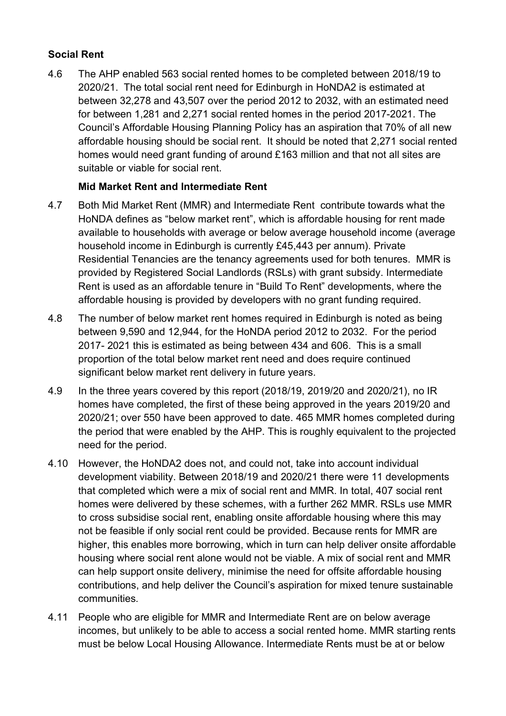#### **Social Rent**

4.6 The AHP enabled 563 social rented homes to be completed between 2018/19 to 2020/21. The total social rent need for Edinburgh in HoNDA2 is estimated at between 32,278 and 43,507 over the period 2012 to 2032, with an estimated need for between 1,281 and 2,271 social rented homes in the period 2017-2021. The Council's Affordable Housing Planning Policy has an aspiration that 70% of all new affordable housing should be social rent. It should be noted that 2,271 social rented homes would need grant funding of around £163 million and that not all sites are suitable or viable for social rent.

#### **Mid Market Rent and Intermediate Rent**

- 4.7 Both Mid Market Rent (MMR) and Intermediate Rent contribute towards what the HoNDA defines as "below market rent", which is affordable housing for rent made available to households with average or below average household income (average household income in Edinburgh is currently £45,443 per annum). Private Residential Tenancies are the tenancy agreements used for both tenures. MMR is provided by Registered Social Landlords (RSLs) with grant subsidy. Intermediate Rent is used as an affordable tenure in "Build To Rent" developments, where the affordable housing is provided by developers with no grant funding required.
- 4.8 The number of below market rent homes required in Edinburgh is noted as being between 9,590 and 12,944, for the HoNDA period 2012 to 2032. For the period 2017- 2021 this is estimated as being between 434 and 606. This is a small proportion of the total below market rent need and does require continued significant below market rent delivery in future years.
- 4.9 In the three years covered by this report (2018/19, 2019/20 and 2020/21), no IR homes have completed, the first of these being approved in the years 2019/20 and 2020/21; over 550 have been approved to date. 465 MMR homes completed during the period that were enabled by the AHP. This is roughly equivalent to the projected need for the period.
- 4.10 However, the HoNDA2 does not, and could not, take into account individual development viability. Between 2018/19 and 2020/21 there were 11 developments that completed which were a mix of social rent and MMR. In total, 407 social rent homes were delivered by these schemes, with a further 262 MMR. RSLs use MMR to cross subsidise social rent, enabling onsite affordable housing where this may not be feasible if only social rent could be provided. Because rents for MMR are higher, this enables more borrowing, which in turn can help deliver onsite affordable housing where social rent alone would not be viable. A mix of social rent and MMR can help support onsite delivery, minimise the need for offsite affordable housing contributions, and help deliver the Council's aspiration for mixed tenure sustainable communities.
- 4.11 People who are eligible for MMR and Intermediate Rent are on below average incomes, but unlikely to be able to access a social rented home. MMR starting rents must be below Local Housing Allowance. Intermediate Rents must be at or below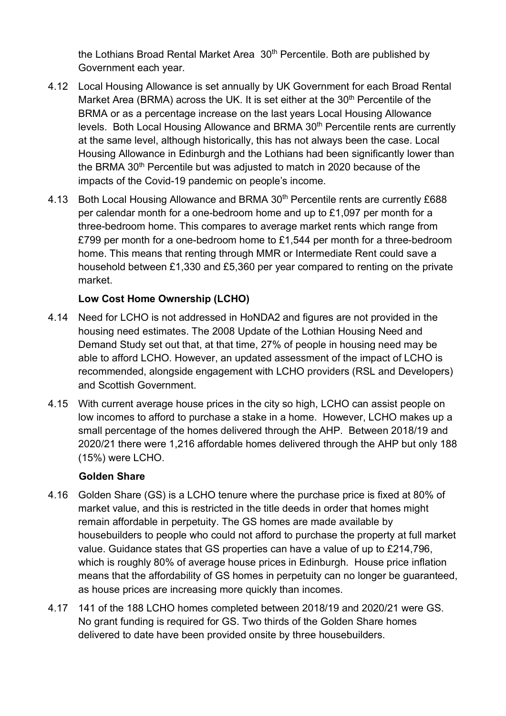the Lothians Broad Rental Market Area 30<sup>th</sup> Percentile. Both are published by Government each year.

- 4.12 Local Housing Allowance is set annually by UK Government for each Broad Rental Market Area (BRMA) across the UK. It is set either at the 30<sup>th</sup> Percentile of the BRMA or as a percentage increase on the last years Local Housing Allowance levels. Both Local Housing Allowance and BRMA 30<sup>th</sup> Percentile rents are currently at the same level, although historically, this has not always been the case. Local Housing Allowance in Edinburgh and the Lothians had been significantly lower than the BRMA 30<sup>th</sup> Percentile but was adjusted to match in 2020 because of the impacts of the Covid-19 pandemic on people's income.
- 4.13 Both Local Housing Allowance and BRMA 30<sup>th</sup> Percentile rents are currently £688 per calendar month for a one-bedroom home and up to £1,097 per month for a three-bedroom home. This compares to average market rents which range from £799 per month for a one-bedroom home to £1,544 per month for a three-bedroom home. This means that renting through MMR or Intermediate Rent could save a household between £1,330 and £5,360 per year compared to renting on the private market.

#### **Low Cost Home Ownership (LCHO)**

- 4.14 Need for LCHO is not addressed in HoNDA2 and figures are not provided in the housing need estimates. The 2008 Update of the Lothian Housing Need and Demand Study set out that, at that time, 27% of people in housing need may be able to afford LCHO. However, an updated assessment of the impact of LCHO is recommended, alongside engagement with LCHO providers (RSL and Developers) and Scottish Government.
- 4.15 With current average house prices in the city so high, LCHO can assist people on low incomes to afford to purchase a stake in a home. However, LCHO makes up a small percentage of the homes delivered through the AHP. Between 2018/19 and 2020/21 there were 1,216 affordable homes delivered through the AHP but only 188 (15%) were LCHO.

#### **Golden Share**

- 4.16 Golden Share (GS) is a LCHO tenure where the purchase price is fixed at 80% of market value, and this is restricted in the title deeds in order that homes might remain affordable in perpetuity. The GS homes are made available by housebuilders to people who could not afford to purchase the property at full market value. Guidance states that GS properties can have a value of up to £214,796, which is roughly 80% of average house prices in Edinburgh. House price inflation means that the affordability of GS homes in perpetuity can no longer be guaranteed, as house prices are increasing more quickly than incomes.
- 4.17 141 of the 188 LCHO homes completed between 2018/19 and 2020/21 were GS. No grant funding is required for GS. Two thirds of the Golden Share homes delivered to date have been provided onsite by three housebuilders.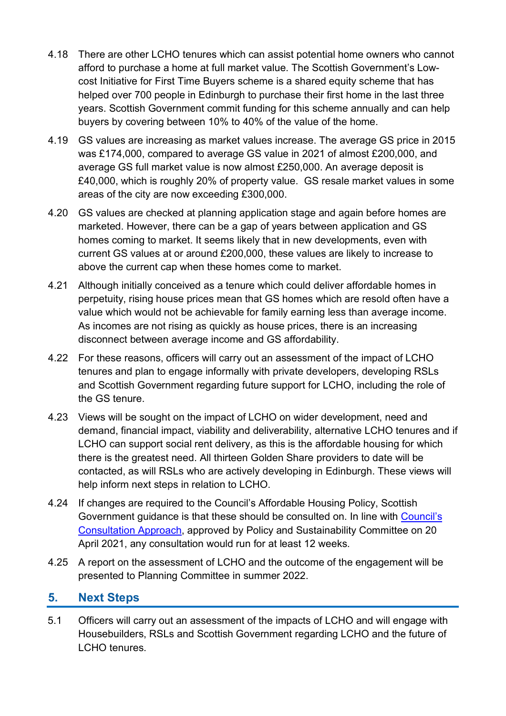- 4.18 There are other LCHO tenures which can assist potential home owners who cannot afford to purchase a home at full market value. The Scottish Government's Lowcost Initiative for First Time Buyers scheme is a shared equity scheme that has helped over 700 people in Edinburgh to purchase their first home in the last three years. Scottish Government commit funding for this scheme annually and can help buyers by covering between 10% to 40% of the value of the home.
- 4.19 GS values are increasing as market values increase. The average GS price in 2015 was £174,000, compared to average GS value in 2021 of almost £200,000, and average GS full market value is now almost £250,000. An average deposit is £40,000, which is roughly 20% of property value. GS resale market values in some areas of the city are now exceeding £300,000.
- 4.20 GS values are checked at planning application stage and again before homes are marketed. However, there can be a gap of years between application and GS homes coming to market. It seems likely that in new developments, even with current GS values at or around £200,000, these values are likely to increase to above the current cap when these homes come to market.
- 4.21 Although initially conceived as a tenure which could deliver affordable homes in perpetuity, rising house prices mean that GS homes which are resold often have a value which would not be achievable for family earning less than average income. As incomes are not rising as quickly as house prices, there is an increasing disconnect between average income and GS affordability.
- 4.22 For these reasons, officers will carry out an assessment of the impact of LCHO tenures and plan to engage informally with private developers, developing RSLs and Scottish Government regarding future support for LCHO, including the role of the GS tenure.
- 4.23 Views will be sought on the impact of LCHO on wider development, need and demand, financial impact, viability and deliverability, alternative LCHO tenures and if LCHO can support social rent delivery, as this is the affordable housing for which there is the greatest need. All thirteen Golden Share providers to date will be contacted, as will RSLs who are actively developing in Edinburgh. These views will help inform next steps in relation to LCHO.
- 4.24 If changes are required to the Council's Affordable Housing Policy, Scottish Government guidance is that these should be consulted on. In line with [Council's](https://democracy.edinburgh.gov.uk/documents/s33269/Item%207.2c%20-%20Covid-19%20Engagement%20and%20Consultation%20Approach.pdf)  [Consultation Approach,](https://democracy.edinburgh.gov.uk/documents/s33269/Item%207.2c%20-%20Covid-19%20Engagement%20and%20Consultation%20Approach.pdf) approved by Policy and Sustainability Committee on 20 April 2021, any consultation would run for at least 12 weeks.
- 4.25 A report on the assessment of LCHO and the outcome of the engagement will be presented to Planning Committee in summer 2022.

#### **5. Next Steps**

5.1 Officers will carry out an assessment of the impacts of LCHO and will engage with Housebuilders, RSLs and Scottish Government regarding LCHO and the future of LCHO tenures.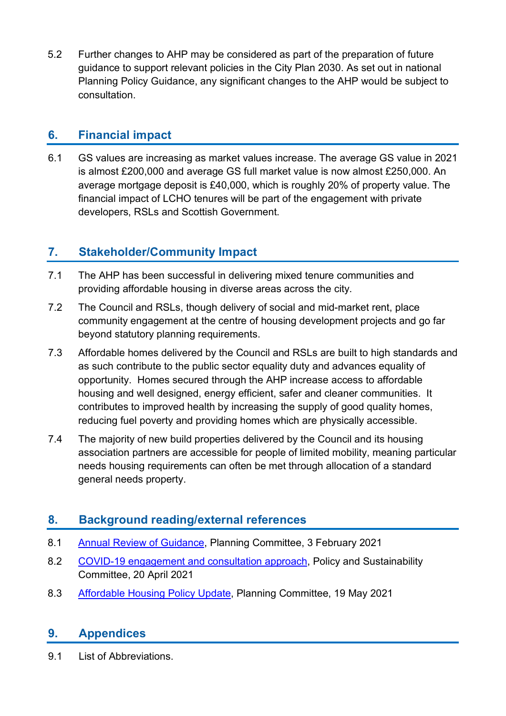5.2 Further changes to AHP may be considered as part of the preparation of future guidance to support relevant policies in the City Plan 2030. As set out in national Planning Policy Guidance, any significant changes to the AHP would be subject to consultation.

## **6. Financial impact**

6.1 GS values are increasing as market values increase. The average GS value in 2021 is almost £200,000 and average GS full market value is now almost £250,000. An average mortgage deposit is £40,000, which is roughly 20% of property value. The financial impact of LCHO tenures will be part of the engagement with private developers, RSLs and Scottish Government.

# **7. Stakeholder/Community Impact**

- 7.1 The AHP has been successful in delivering mixed tenure communities and providing affordable housing in diverse areas across the city.
- 7.2 The Council and RSLs, though delivery of social and mid-market rent, place community engagement at the centre of housing development projects and go far beyond statutory planning requirements.
- 7.3 Affordable homes delivered by the Council and RSLs are built to high standards and as such contribute to the public sector equality duty and advances equality of opportunity. Homes secured through the AHP increase access to affordable housing and well designed, energy efficient, safer and cleaner communities. It contributes to improved health by increasing the supply of good quality homes, reducing fuel poverty and providing homes which are physically accessible.
- 7.4 The majority of new build properties delivered by the Council and its housing association partners are accessible for people of limited mobility, meaning particular needs housing requirements can often be met through allocation of a standard general needs property.

# **8. Background reading/external references**

- 8.1 [Annual Review of Guidance,](https://democracy.edinburgh.gov.uk/documents/s31076/Item%207.1%20-%20Annual%20Review%20of%20Guidance.pdf) Planning Committee, 3 February 2021
- 8.2 [COVID-19 engagement and consultation approach,](https://democracy.edinburgh.gov.uk/documents/s33269/Item%207.2c%20-%20Covid-19%20Engagement%20and%20Consultation%20Approach.pdf) Policy and Sustainability Committee, 20 April 2021
- 8.3 [Affordable Housing Policy Update,](https://democracy.edinburgh.gov.uk/documents/s34026/Item%207.1%20-%20Affordable%20Housing%20Policy%20Update.pdf) Planning Committee, 19 May 2021

### **9. Appendices**

9.1 List of Abbreviations.